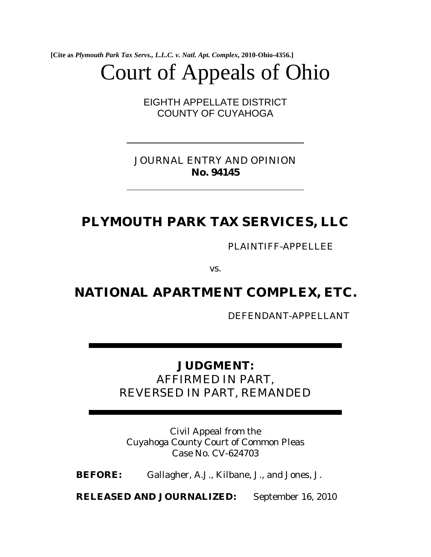**[Cite as** *Plymouth Park Tax Servs., L.L.C. v. Natl. Apt. Complex***, 2010-Ohio-4356.]**

# Court of Appeals of Ohio

EIGHTH APPELLATE DISTRICT COUNTY OF CUYAHOGA

JOURNAL ENTRY AND OPINION **No. 94145** 

## **PLYMOUTH PARK TAX SERVICES, LLC**

PLAINTIFF-APPELLEE

vs.

## **NATIONAL APARTMENT COMPLEX, ETC.**

DEFENDANT-APPELLANT

### **JUDGMENT:**

AFFIRMED IN PART, REVERSED IN PART, REMANDED

Civil Appeal from the Cuyahoga County Court of Common Pleas Case No. CV-624703

**BEFORE:** Gallagher, A.J., Kilbane, J., and Jones, J.

**RELEASED AND JOURNALIZED:** September 16, 2010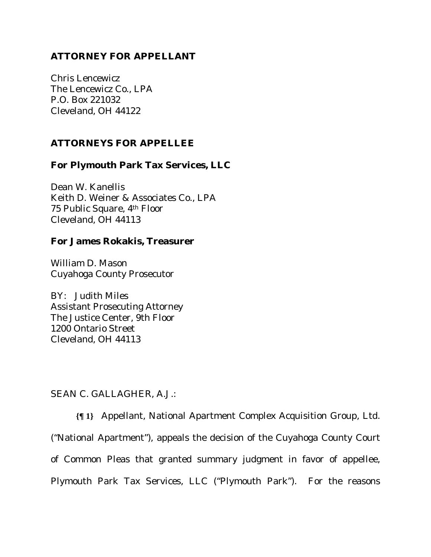#### **ATTORNEY FOR APPELLANT**

Chris Lencewicz The Lencewicz Co., LPA P.O. Box 221032 Cleveland, OH 44122

#### **ATTORNEYS FOR APPELLEE**

#### **For Plymouth Park Tax Services, LLC**

Dean W. Kanellis Keith D. Weiner & Associates Co., LPA 75 Public Square, 4th Floor Cleveland, OH 44113

#### **For James Rokakis, Treasurer**

William D. Mason Cuyahoga County Prosecutor

BY: Judith Miles Assistant Prosecuting Attorney The Justice Center, 9th Floor 1200 Ontario Street Cleveland, OH 44113

#### SEAN C. GALLAGHER, A*.*J.:

**{¶ 1}** Appellant, National Apartment Complex Acquisition Group, Ltd. ("National Apartment"), appeals the decision of the Cuyahoga County Court of Common Pleas that granted summary judgment in favor of appellee, Plymouth Park Tax Services, LLC ("Plymouth Park"). For the reasons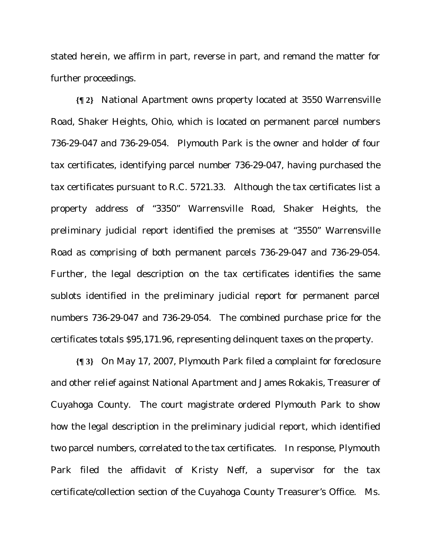stated herein, we affirm in part, reverse in part, and remand the matter for further proceedings.

**{¶ 2}** National Apartment owns property located at 3550 Warrensville Road, Shaker Heights, Ohio, which is located on permanent parcel numbers 736-29-047 and 736-29-054. Plymouth Park is the owner and holder of four tax certificates, identifying parcel number 736-29-047, having purchased the tax certificates pursuant to R.C. 5721.33. Although the tax certificates list a property address of "3350" Warrensville Road, Shaker Heights, the preliminary judicial report identified the premises at "3550" Warrensville Road as comprising of both permanent parcels 736-29-047 and 736-29-054. Further, the legal description on the tax certificates identifies the same sublots identified in the preliminary judicial report for permanent parcel numbers 736-29-047 and 736-29-054. The combined purchase price for the certificates totals \$95,171.96, representing delinquent taxes on the property.

**{¶ 3}** On May 17, 2007, Plymouth Park filed a complaint for foreclosure and other relief against National Apartment and James Rokakis, Treasurer of Cuyahoga County. The court magistrate ordered Plymouth Park to show how the legal description in the preliminary judicial report, which identified two parcel numbers, correlated to the tax certificates. In response, Plymouth Park filed the affidavit of Kristy Neff, a supervisor for the tax certificate/collection section of the Cuyahoga County Treasurer's Office. Ms.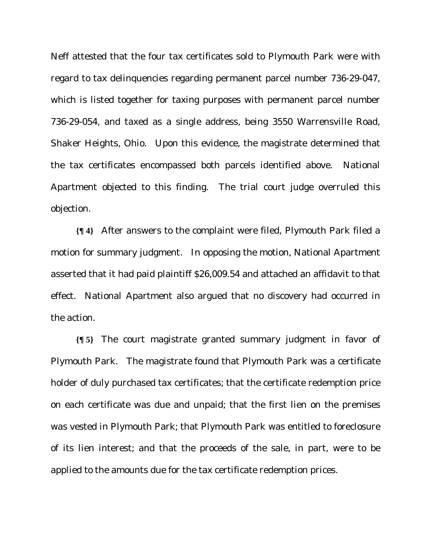Neff attested that the four tax certificates sold to Plymouth Park were with regard to tax delinquencies regarding permanent parcel number 736-29-047, which is listed together for taxing purposes with permanent parcel number 736-29-054, and taxed as a single address, being 3550 Warrensville Road, Shaker Heights, Ohio. Upon this evidence, the magistrate determined that the tax certificates encompassed both parcels identified above. National Apartment objected to this finding. The trial court judge overruled this objection.

**{¶ 4}** After answers to the complaint were filed, Plymouth Park filed a motion for summary judgment. In opposing the motion, National Apartment asserted that it had paid plaintiff \$26,009.54 and attached an affidavit to that effect. National Apartment also argued that no discovery had occurred in the action.

**{¶ 5}** The court magistrate granted summary judgment in favor of Plymouth Park. The magistrate found that Plymouth Park was a certificate holder of duly purchased tax certificates; that the certificate redemption price on each certificate was due and unpaid; that the first lien on the premises was vested in Plymouth Park; that Plymouth Park was entitled to foreclosure of its lien interest; and that the proceeds of the sale, in part, were to be applied to the amounts due for the tax certificate redemption prices.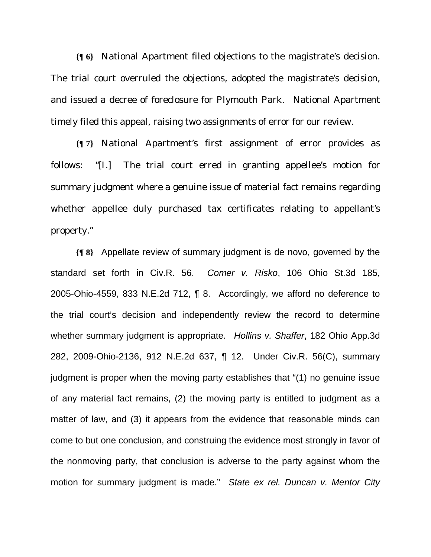**{¶ 6}** National Apartment filed objections to the magistrate's decision. The trial court overruled the objections, adopted the magistrate's decision, and issued a decree of foreclosure for Plymouth Park. National Apartment timely filed this appeal, raising two assignments of error for our review.

**{¶ 7}** National Apartment's first assignment of error provides as follows: "[I.] The trial court erred in granting appellee's motion for summary judgment where a genuine issue of material fact remains regarding whether appellee duly purchased tax certificates relating to appellant's property."

**{¶ 8}** Appellate review of summary judgment is de novo, governed by the standard set forth in Civ.R. 56. *Comer v. Risko*, 106 Ohio St.3d 185, 2005-Ohio-4559, 833 N.E.2d 712, ¶ 8. Accordingly, we afford no deference to the trial court's decision and independently review the record to determine whether summary judgment is appropriate. *Hollins v. Shaffer*, 182 Ohio App.3d 282, 2009-Ohio-2136, 912 N.E.2d 637, ¶ 12. Under Civ.R. 56(C), summary judgment is proper when the moving party establishes that "(1) no genuine issue of any material fact remains, (2) the moving party is entitled to judgment as a matter of law, and (3) it appears from the evidence that reasonable minds can come to but one conclusion, and construing the evidence most strongly in favor of the nonmoving party, that conclusion is adverse to the party against whom the motion for summary judgment is made." *State ex rel. Duncan v. Mentor City*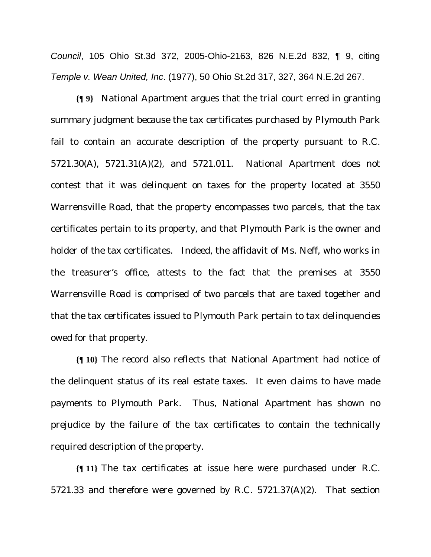*Council*, 105 Ohio St.3d 372, 2005-Ohio-2163, 826 N.E.2d 832, ¶ 9, citing *Temple v. Wean United, Inc*. (1977), 50 Ohio St.2d 317, 327, 364 N.E.2d 267.

**{¶ 9}** National Apartment argues that the trial court erred in granting summary judgment because the tax certificates purchased by Plymouth Park fail to contain an accurate description of the property pursuant to R.C. 5721.30(A), 5721.31(A)(2), and 5721.011. National Apartment does not contest that it was delinquent on taxes for the property located at 3550 Warrensville Road, that the property encompasses two parcels, that the tax certificates pertain to its property, and that Plymouth Park is the owner and holder of the tax certificates. Indeed, the affidavit of Ms. Neff, who works in the treasurer's office, attests to the fact that the premises at 3550 Warrensville Road is comprised of two parcels that are taxed together and that the tax certificates issued to Plymouth Park pertain to tax delinquencies owed for that property.

**{¶ 10}** The record also reflects that National Apartment had notice of the delinquent status of its real estate taxes. It even claims to have made payments to Plymouth Park. Thus, National Apartment has shown no prejudice by the failure of the tax certificates to contain the technically required description of the property.

**{¶ 11}** The tax certificates at issue here were purchased under R.C. 5721.33 and therefore were governed by R.C. 5721.37(A)(2). That section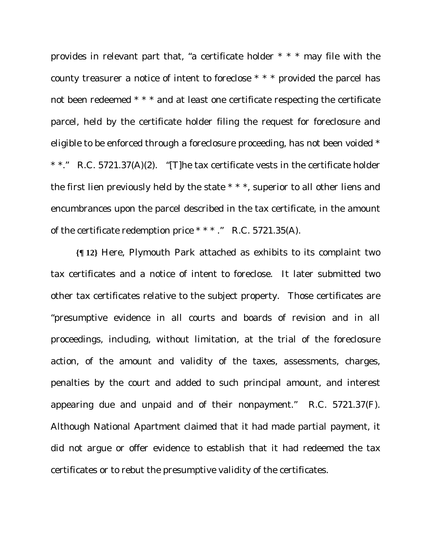provides in relevant part that, "a certificate holder \* \* \* may file with the county treasurer a notice of intent to foreclose \* \* \* provided the parcel has not been redeemed \* \* \* and at least one certificate respecting the certificate parcel, held by the certificate holder filing the request for foreclosure and eligible to be enforced through a foreclosure proceeding, has not been voided \* \* \*." R.C. 5721.37(A)(2). "[T]he tax certificate vests in the certificate holder the first lien previously held by the state \* \* \*, superior to all other liens and encumbrances upon the parcel described in the tax certificate, in the amount of the certificate redemption price \* \* \* ." R.C. 5721.35(A).

**{¶ 12}** Here, Plymouth Park attached as exhibits to its complaint two tax certificates and a notice of intent to foreclose. It later submitted two other tax certificates relative to the subject property. Those certificates are "presumptive evidence in all courts and boards of revision and in all proceedings, including, without limitation, at the trial of the foreclosure action, of the amount and validity of the taxes, assessments, charges, penalties by the court and added to such principal amount, and interest appearing due and unpaid and of their nonpayment." R.C. 5721.37(F). Although National Apartment claimed that it had made partial payment, it did not argue or offer evidence to establish that it had redeemed the tax certificates or to rebut the presumptive validity of the certificates.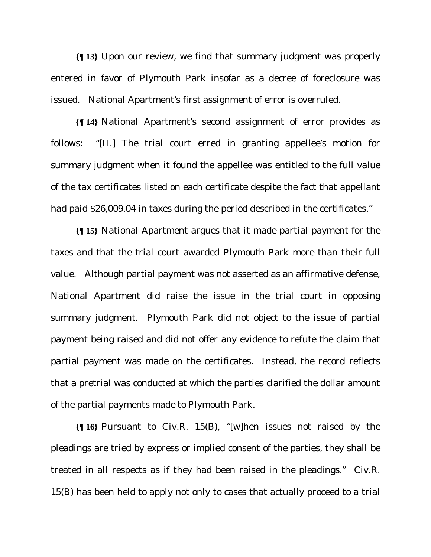**{¶ 13}** Upon our review, we find that summary judgment was properly entered in favor of Plymouth Park insofar as a decree of foreclosure was issued. National Apartment's first assignment of error is overruled.

**{¶ 14}** National Apartment's second assignment of error provides as follows: "[II.] The trial court erred in granting appellee's motion for summary judgment when it found the appellee was entitled to the full value of the tax certificates listed on each certificate despite the fact that appellant had paid \$26,009.04 in taxes during the period described in the certificates."

**{¶ 15}** National Apartment argues that it made partial payment for the taxes and that the trial court awarded Plymouth Park more than their full value. Although partial payment was not asserted as an affirmative defense, National Apartment did raise the issue in the trial court in opposing summary judgment. Plymouth Park did not object to the issue of partial payment being raised and did not offer any evidence to refute the claim that partial payment was made on the certificates. Instead, the record reflects that a pretrial was conducted at which the parties clarified the dollar amount of the partial payments made to Plymouth Park.

**{¶ 16}** Pursuant to Civ.R. 15(B), "[w]hen issues not raised by the pleadings are tried by express or implied consent of the parties, they shall be treated in all respects as if they had been raised in the pleadings." Civ.R. 15(B) has been held to apply not only to cases that actually proceed to a trial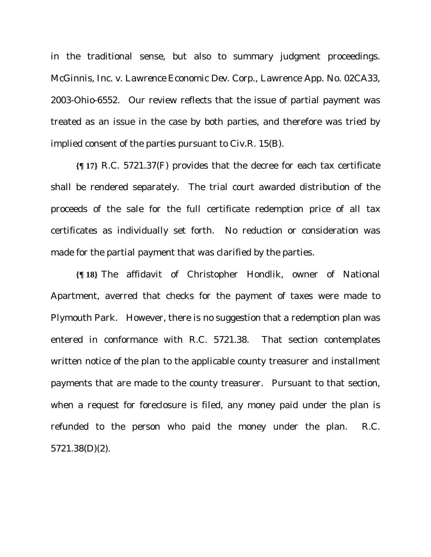in the traditional sense, but also to summary judgment proceedings. *McGinnis, Inc. v. Lawrence Economic Dev. Corp*., Lawrence App. No. 02CA33, 2003-Ohio-6552. Our review reflects that the issue of partial payment was treated as an issue in the case by both parties, and therefore was tried by implied consent of the parties pursuant to Civ.R. 15(B).

**{¶ 17}** R.C. 5721.37(F) provides that the decree for each tax certificate shall be rendered separately. The trial court awarded distribution of the proceeds of the sale for the full certificate redemption price of all tax certificates as individually set forth. No reduction or consideration was made for the partial payment that was clarified by the parties.

**{¶ 18}** The affidavit of Christopher Hondlik, owner of National Apartment, averred that checks for the payment of taxes were made to Plymouth Park. However, there is no suggestion that a redemption plan was entered in conformance with R.C. 5721.38. That section contemplates written notice of the plan to the applicable county treasurer and installment payments that are made to the county treasurer. Pursuant to that section, when a request for foreclosure is filed, any money paid under the plan is refunded to the person who paid the money under the plan. R.C. 5721.38(D)(2).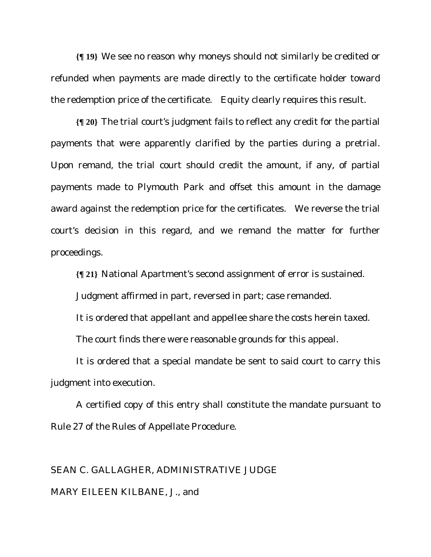**{¶ 19}** We see no reason why moneys should not similarly be credited or refunded when payments are made directly to the certificate holder toward the redemption price of the certificate. Equity clearly requires this result.

**{¶ 20}** The trial court's judgment fails to reflect any credit for the partial payments that were apparently clarified by the parties during a pretrial. Upon remand, the trial court should credit the amount, if any, of partial payments made to Plymouth Park and offset this amount in the damage award against the redemption price for the certificates. We reverse the trial court's decision in this regard, and we remand the matter for further proceedings.

**{¶ 21}** National Apartment's second assignment of error is sustained.

Judgment affirmed in part, reversed in part; case remanded.

It is ordered that appellant and appellee share the costs herein taxed.

The court finds there were reasonable grounds for this appeal.

It is ordered that a special mandate be sent to said court to carry this judgment into execution.

A certified copy of this entry shall constitute the mandate pursuant to Rule 27 of the Rules of Appellate Procedure.

## SEAN C. GALLAGHER, ADMINISTRATIVE JUDGE MARY EILEEN KILBANE, J., and